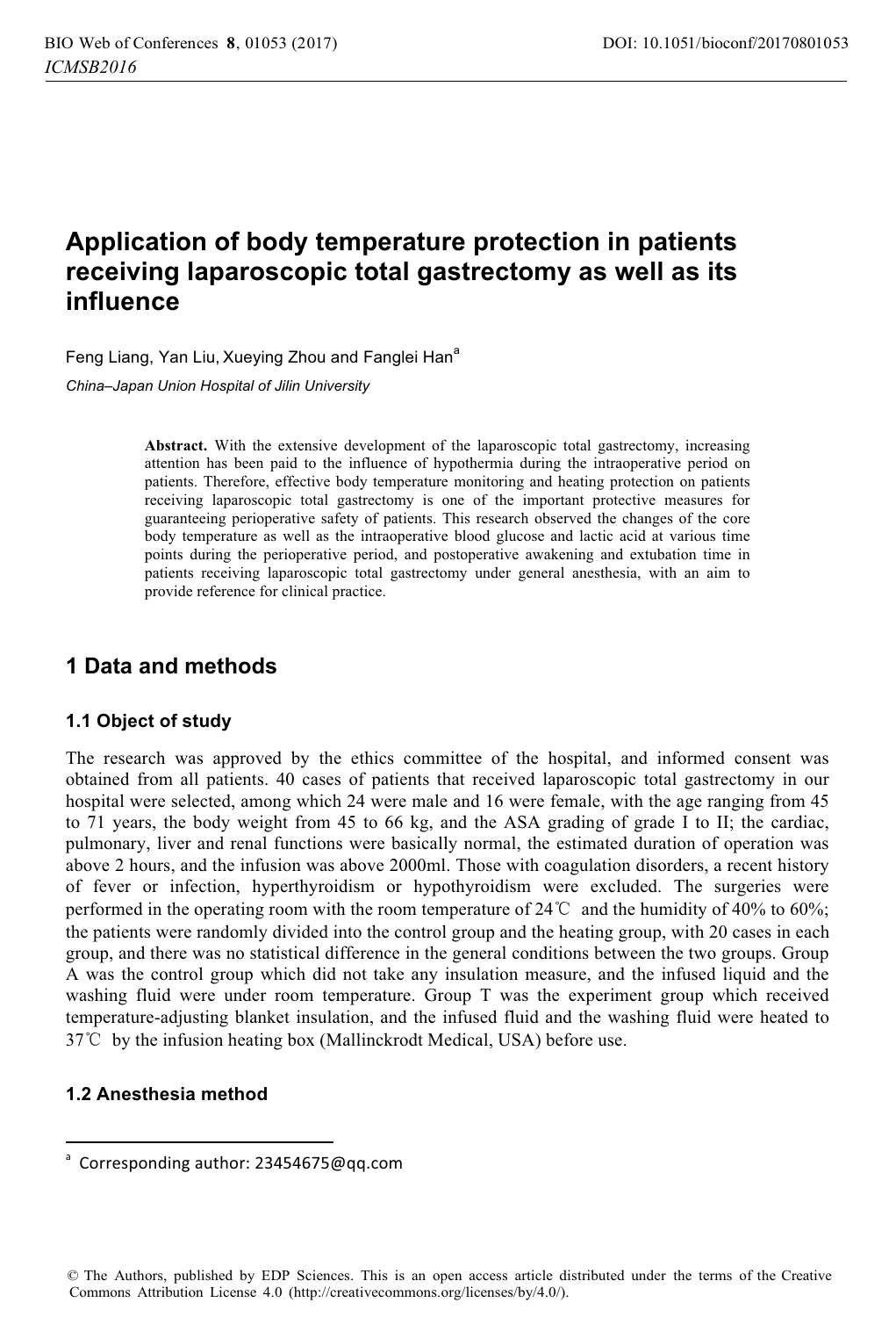# **Application of body temperature protection in patients receiving laparoscopic total gastrectomy as well as its influence**

Feng Liang, Yan Liu, Xueying Zhou and Fanglei Han<sup>a</sup>

*China–Japan Union Hospital of Jilin University* 

**Abstract.** With the extensive development of the laparoscopic total gastrectomy, increasing attention has been paid to the influence of hypothermia during the intraoperative period on patients. Therefore, effective body temperature monitoring and heating protection on patients receiving laparoscopic total gastrectomy is one of the important protective measures for guaranteeing perioperative safety of patients. This research observed the changes of the core body temperature as well as the intraoperative blood glucose and lactic acid at various time points during the perioperative period, and postoperative awakening and extubation time in patients receiving laparoscopic total gastrectomy under general anesthesia, with an aim to provide reference for clinical practice.

## **1 Data and methods**

#### **1.1 Object of study**

The research was approved by the ethics committee of the hospital, and informed consent was obtained from all patients. 40 cases of patients that received laparoscopic total gastrectomy in our hospital were selected, among which 24 were male and 16 were female, with the age ranging from 45 to 71 years, the body weight from 45 to 66 kg, and the ASA grading of grade I to II; the cardiac, pulmonary, liver and renal functions were basically normal, the estimated duration of operation was above 2 hours, and the infusion was above 2000ml. Those with coagulation disorders, a recent history of fever or infection, hyperthyroidism or hypothyroidism were excluded. The surgeries were performed in the operating room with the room temperature of  $24^{\circ}$  and the humidity of  $40\%$  to  $60\%$ ; the patients were randomly divided into the control group and the heating group, with 20 cases in each group, and there was no statistical difference in the general conditions between the two groups. Group A was the control group which did not take any insulation measure, and the infused liquid and the washing fluid were under room temperature. Group T was the experiment group which received temperature-adjusting blanket insulation, and the infused fluid and the washing fluid were heated to 37°C by the infusion heating box (Mallinckrodt Medical, USA) before use.

### **1.2 Anesthesia method**

------------------------------------- --------------------

<sup>-</sup>-- -<sup>a</sup> Corresponding author: 23454675@gg.com

<sup>©</sup> The Authors, published by EDP Sciences. This is an open access article distributed under the terms of the Creative Commons Attribution License 4.0 (http://creativecommons.org/licenses/by/4.0/).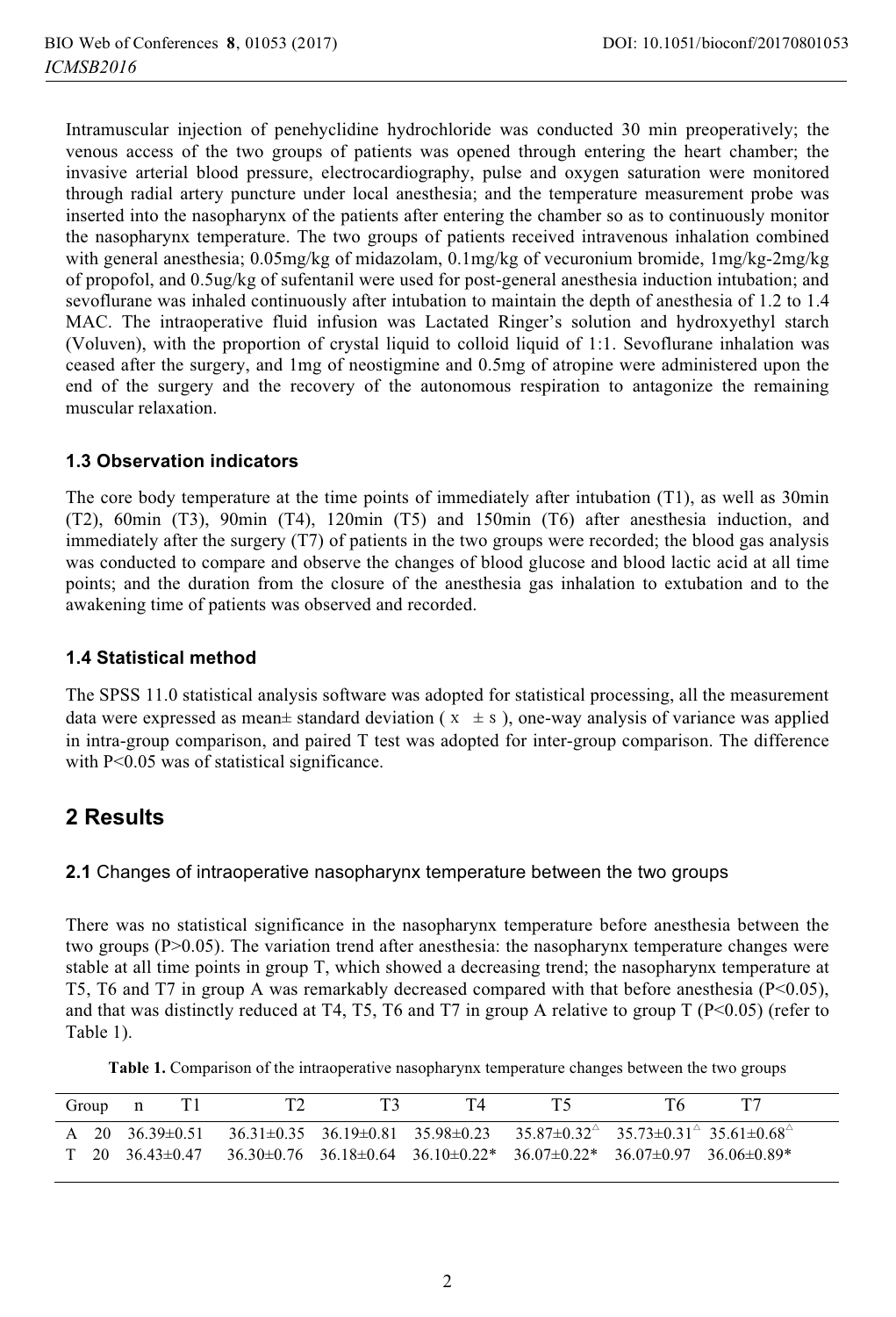Intramuscular injection of penehyclidine hydrochloride was conducted 30 min preoperatively; the venous access of the two groups of patients was opened through entering the heart chamber; the invasive arterial blood pressure, electrocardiography, pulse and oxygen saturation were monitored through radial artery puncture under local anesthesia; and the temperature measurement probe was inserted into the nasopharynx of the patients after entering the chamber so as to continuously monitor the nasopharynx temperature. The two groups of patients received intravenous inhalation combined with general anesthesia; 0.05mg/kg of midazolam, 0.1mg/kg of vecuronium bromide, 1mg/kg-2mg/kg of propofol, and 0.5ug/kg of sufentanil were used for post-general anesthesia induction intubation; and sevoflurane was inhaled continuously after intubation to maintain the depth of anesthesia of 1.2 to 1.4 MAC. The intraoperative fluid infusion was Lactated Ringer's solution and hydroxyethyl starch (Voluven), with the proportion of crystal liquid to colloid liquid of 1:1. Sevoflurane inhalation was ceased after the surgery, and 1mg of neostigmine and 0.5mg of atropine were administered upon the end of the surgery and the recovery of the autonomous respiration to antagonize the remaining muscular relaxation.

#### **1.3 Observation indicators**

The core body temperature at the time points of immediately after intubation (T1), as well as 30min (T2), 60min (T3), 90min (T4), 120min (T5) and 150min (T6) after anesthesia induction, and immediately after the surgery (T7) of patients in the two groups were recorded; the blood gas analysis was conducted to compare and observe the changes of blood glucose and blood lactic acid at all time points; and the duration from the closure of the anesthesia gas inhalation to extubation and to the awakening time of patients was observed and recorded.

### **1.4 Statistical method**

The SPSS 11.0 statistical analysis software was adopted for statistical processing, all the measurement data were expressed as mean± standard deviation ( $x \pm s$ ), one-way analysis of variance was applied in intra-group comparison, and paired T test was adopted for inter-group comparison. The difference with P<0.05 was of statistical significance.

### **2 Results**

### **2.1** Changes of intraoperative nasopharynx temperature between the two groups

There was no statistical significance in the nasopharynx temperature before anesthesia between the two groups (P>0.05). The variation trend after anesthesia: the nasopharynx temperature changes were stable at all time points in group T, which showed a decreasing trend; the nasopharynx temperature at T5, T6 and T7 in group A was remarkably decreased compared with that before anesthesia (P<0.05), and that was distinctly reduced at T4, T5, T6 and T7 in group A relative to group T ( $P<0.05$ ) (refer to Table 1).

**Table 1.** Comparison of the intraoperative nasopharynx temperature changes between the two groups

|  | Group n |  |  |                                                                                                                     |  |
|--|---------|--|--|---------------------------------------------------------------------------------------------------------------------|--|
|  |         |  |  | A 20 $36.39\pm0.51$ $36.31\pm0.35$ $36.19\pm0.81$ $35.98\pm0.23$ $35.87\pm0.32$ $35.73\pm0.31$ $35.61\pm0.68$       |  |
|  |         |  |  | $T = 20$ $36.43\pm0.47$ $36.30\pm0.76$ $36.18\pm0.64$ $36.10\pm0.22$ $36.07\pm0.22$ $36.07\pm0.97$ $36.06\pm0.89$ * |  |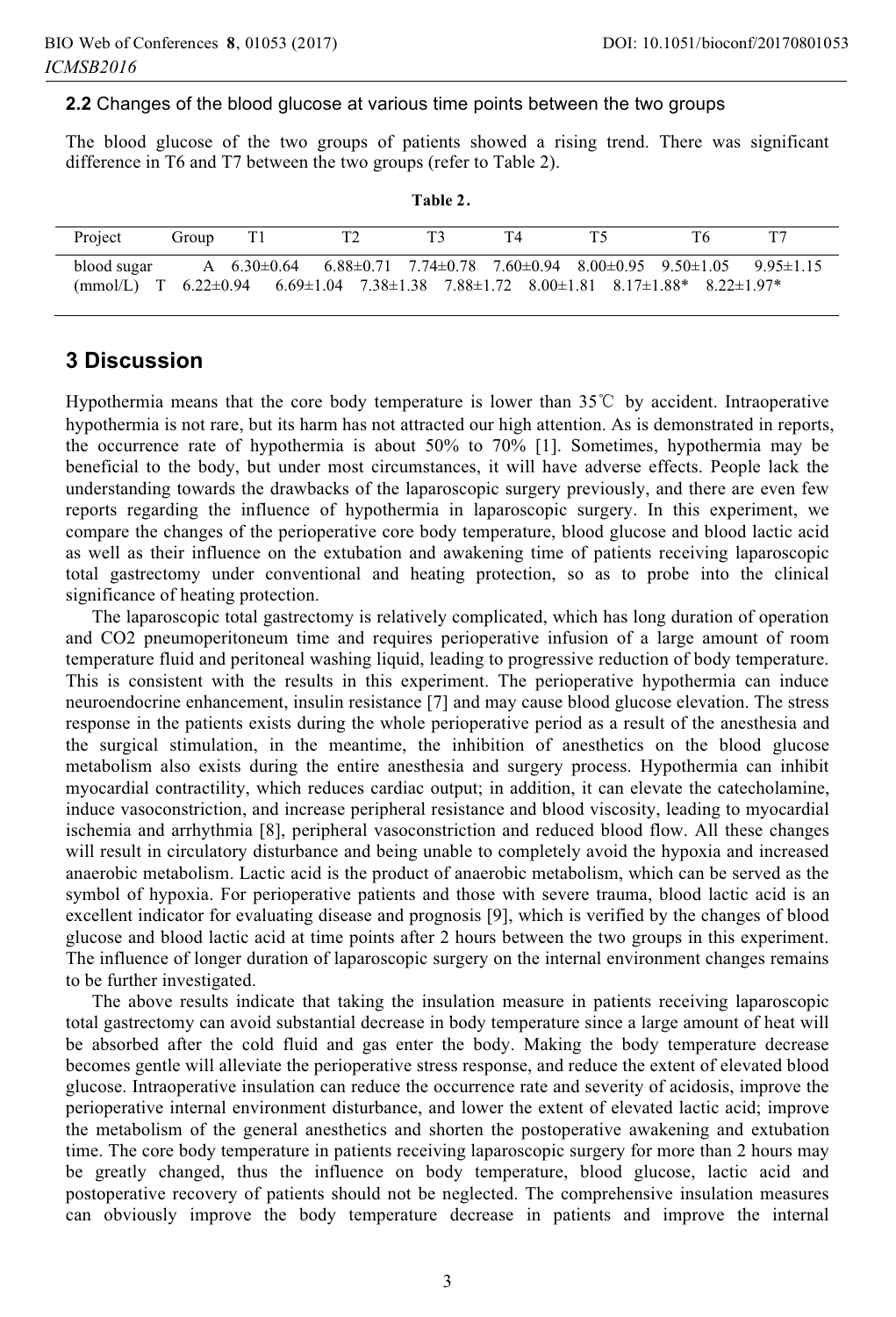#### **2.2** Changes of the blood glucose at various time points between the two groups

The blood glucose of the two groups of patients showed a rising trend. There was significant difference in T6 and T7 between the two groups (refer to Table 2).

**Table 2**

| Project     | Group |                                                                                                                                                                                                                                       |  | T4 |  |  |
|-------------|-------|---------------------------------------------------------------------------------------------------------------------------------------------------------------------------------------------------------------------------------------|--|----|--|--|
| blood sugar |       | A $6.30\pm0.64$ $6.88\pm0.71$ $7.74\pm0.78$ $7.60\pm0.94$ $8.00\pm0.95$ $9.50\pm1.05$ $9.95\pm1.15$<br>$(mmol/L)$ T 6.22 $\pm$ 0.94 6.69 $\pm$ 1.04 7.38 $\pm$ 1.38 7.88 $\pm$ 1.72 8.00 $\pm$ 1.81 8.17 $\pm$ 1.88* 8.22 $\pm$ 1.97* |  |    |  |  |

### **3 Discussion**

Hypothermia means that the core body temperature is lower than  $35^{\circ}$  by accident. Intraoperative hypothermia is not rare, but its harm has not attracted our high attention. As is demonstrated in reports, the occurrence rate of hypothermia is about 50% to 70% [1]. Sometimes, hypothermia may be beneficial to the body, but under most circumstances, it will have adverse effects. People lack the understanding towards the drawbacks of the laparoscopic surgery previously, and there are even few reports regarding the influence of hypothermia in laparoscopic surgery. In this experiment, we compare the changes of the perioperative core body temperature, blood glucose and blood lactic acid as well as their influence on the extubation and awakening time of patients receiving laparoscopic total gastrectomy under conventional and heating protection, so as to probe into the clinical significance of heating protection.

The laparoscopic total gastrectomy is relatively complicated, which has long duration of operation and CO2 pneumoperitoneum time and requires perioperative infusion of a large amount of room temperature fluid and peritoneal washing liquid, leading to progressive reduction of body temperature. This is consistent with the results in this experiment. The perioperative hypothermia can induce neuroendocrine enhancement, insulin resistance [7] and may cause blood glucose elevation. The stress response in the patients exists during the whole perioperative period as a result of the anesthesia and the surgical stimulation, in the meantime, the inhibition of anesthetics on the blood glucose metabolism also exists during the entire anesthesia and surgery process. Hypothermia can inhibit myocardial contractility, which reduces cardiac output; in addition, it can elevate the catecholamine, induce vasoconstriction, and increase peripheral resistance and blood viscosity, leading to myocardial ischemia and arrhythmia [8], peripheral vasoconstriction and reduced blood flow. All these changes will result in circulatory disturbance and being unable to completely avoid the hypoxia and increased anaerobic metabolism. Lactic acid is the product of anaerobic metabolism, which can be served as the symbol of hypoxia. For perioperative patients and those with severe trauma, blood lactic acid is an excellent indicator for evaluating disease and prognosis [9], which is verified by the changes of blood glucose and blood lactic acid at time points after 2 hours between the two groups in this experiment. The influence of longer duration of laparoscopic surgery on the internal environment changes remains to be further investigated.

The above results indicate that taking the insulation measure in patients receiving laparoscopic total gastrectomy can avoid substantial decrease in body temperature since a large amount of heat will be absorbed after the cold fluid and gas enter the body. Making the body temperature decrease becomes gentle will alleviate the perioperative stress response, and reduce the extent of elevated blood glucose. Intraoperative insulation can reduce the occurrence rate and severity of acidosis, improve the perioperative internal environment disturbance, and lower the extent of elevated lactic acid; improve the metabolism of the general anesthetics and shorten the postoperative awakening and extubation time. The core body temperature in patients receiving laparoscopic surgery for more than 2 hours may be greatly changed, thus the influence on body temperature, blood glucose, lactic acid and postoperative recovery of patients should not be neglected. The comprehensive insulation measures can obviously improve the body temperature decrease in patients and improve the internal